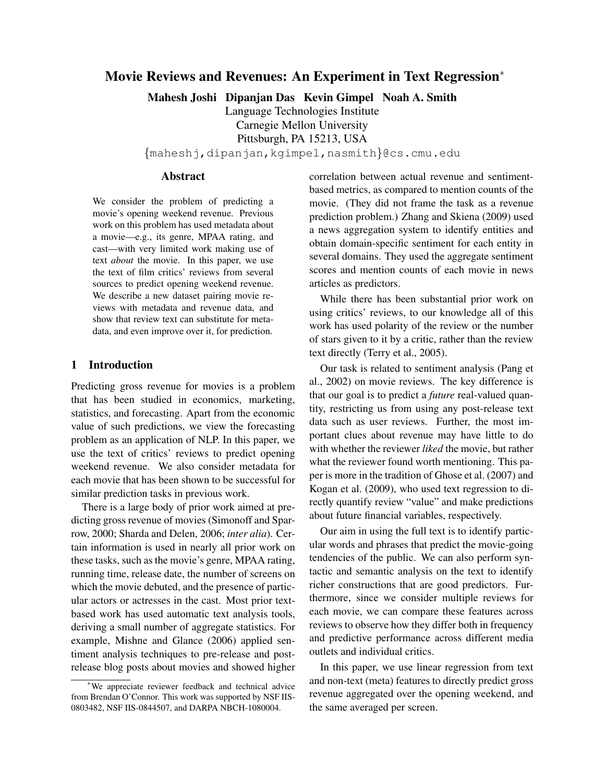# Movie Reviews and Revenues: An Experiment in Text Regression<sup>∗</sup>

Mahesh Joshi Dipanjan Das Kevin Gimpel Noah A. Smith

Language Technologies Institute Carnegie Mellon University Pittsburgh, PA 15213, USA

{maheshj,dipanjan,kgimpel,nasmith}@cs.cmu.edu

## Abstract

We consider the problem of predicting a movie's opening weekend revenue. Previous work on this problem has used metadata about a movie—e.g., its genre, MPAA rating, and cast—with very limited work making use of text *about* the movie. In this paper, we use the text of film critics' reviews from several sources to predict opening weekend revenue. We describe a new dataset pairing movie reviews with metadata and revenue data, and show that review text can substitute for metadata, and even improve over it, for prediction.

## 1 Introduction

Predicting gross revenue for movies is a problem that has been studied in economics, marketing, statistics, and forecasting. Apart from the economic value of such predictions, we view the forecasting problem as an application of NLP. In this paper, we use the text of critics' reviews to predict opening weekend revenue. We also consider metadata for each movie that has been shown to be successful for similar prediction tasks in previous work.

There is a large body of prior work aimed at predicting gross revenue of movies (Simonoff and Sparrow, 2000; Sharda and Delen, 2006; *inter alia*). Certain information is used in nearly all prior work on these tasks, such as the movie's genre, MPAA rating, running time, release date, the number of screens on which the movie debuted, and the presence of particular actors or actresses in the cast. Most prior textbased work has used automatic text analysis tools, deriving a small number of aggregate statistics. For example, Mishne and Glance (2006) applied sentiment analysis techniques to pre-release and postrelease blog posts about movies and showed higher correlation between actual revenue and sentimentbased metrics, as compared to mention counts of the movie. (They did not frame the task as a revenue prediction problem.) Zhang and Skiena (2009) used a news aggregation system to identify entities and obtain domain-specific sentiment for each entity in several domains. They used the aggregate sentiment scores and mention counts of each movie in news articles as predictors.

While there has been substantial prior work on using critics' reviews, to our knowledge all of this work has used polarity of the review or the number of stars given to it by a critic, rather than the review text directly (Terry et al., 2005).

Our task is related to sentiment analysis (Pang et al., 2002) on movie reviews. The key difference is that our goal is to predict a *future* real-valued quantity, restricting us from using any post-release text data such as user reviews. Further, the most important clues about revenue may have little to do with whether the reviewer *liked* the movie, but rather what the reviewer found worth mentioning. This paper is more in the tradition of Ghose et al. (2007) and Kogan et al. (2009), who used text regression to directly quantify review "value" and make predictions about future financial variables, respectively.

Our aim in using the full text is to identify particular words and phrases that predict the movie-going tendencies of the public. We can also perform syntactic and semantic analysis on the text to identify richer constructions that are good predictors. Furthermore, since we consider multiple reviews for each movie, we can compare these features across reviews to observe how they differ both in frequency and predictive performance across different media outlets and individual critics.

In this paper, we use linear regression from text and non-text (meta) features to directly predict gross revenue aggregated over the opening weekend, and the same averaged per screen.

<sup>∗</sup>We appreciate reviewer feedback and technical advice from Brendan O'Connor. This work was supported by NSF IIS-0803482, NSF IIS-0844507, and DARPA NBCH-1080004.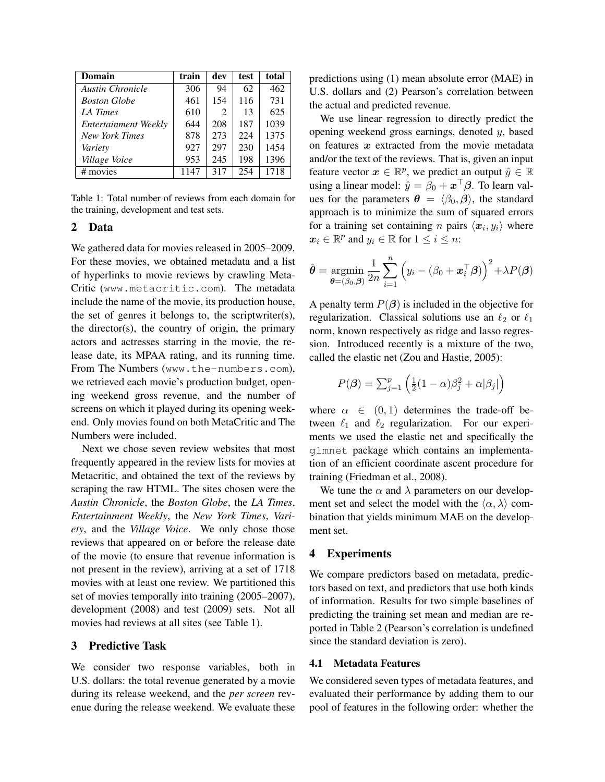| Domain                  | train | dev | test | total |
|-------------------------|-------|-----|------|-------|
| <b>Austin Chronicle</b> | 306   | 94  | 62   | 462   |
| <b>Boston Globe</b>     | 461   | 154 | 116  | 731   |
| LA Times                | 610   | 2   | 13   | 625   |
| Entertainment Weekly    | 644   | 208 | 187  | 1039  |
| <b>New York Times</b>   | 878   | 273 | 224  | 1375  |
| Variety                 | 927   | 297 | 230  | 1454  |
| Village Voice           | 953   | 245 | 198  | 1396  |
| # movies                | 1147  | 317 | 254  | 1718  |

Table 1: Total number of reviews from each domain for the training, development and test sets.

## 2 Data

We gathered data for movies released in 2005–2009. For these movies, we obtained metadata and a list of hyperlinks to movie reviews by crawling Meta-Critic (www.metacritic.com). The metadata include the name of the movie, its production house, the set of genres it belongs to, the scriptwriter(s), the director(s), the country of origin, the primary actors and actresses starring in the movie, the release date, its MPAA rating, and its running time. From The Numbers (www.the-numbers.com), we retrieved each movie's production budget, opening weekend gross revenue, and the number of screens on which it played during its opening weekend. Only movies found on both MetaCritic and The Numbers were included.

Next we chose seven review websites that most frequently appeared in the review lists for movies at Metacritic, and obtained the text of the reviews by scraping the raw HTML. The sites chosen were the *Austin Chronicle*, the *Boston Globe*, the *LA Times*, *Entertainment Weekly*, the *New York Times*, *Variety*, and the *Village Voice*. We only chose those reviews that appeared on or before the release date of the movie (to ensure that revenue information is not present in the review), arriving at a set of 1718 movies with at least one review. We partitioned this set of movies temporally into training (2005–2007), development (2008) and test (2009) sets. Not all movies had reviews at all sites (see Table 1).

#### 3 Predictive Task

We consider two response variables, both in U.S. dollars: the total revenue generated by a movie during its release weekend, and the *per screen* revenue during the release weekend. We evaluate these

predictions using (1) mean absolute error (MAE) in U.S. dollars and (2) Pearson's correlation between the actual and predicted revenue.

We use linear regression to directly predict the opening weekend gross earnings, denoted  $y$ , based on features  $x$  extracted from the movie metadata and/or the text of the reviews. That is, given an input feature vector  $x \in \mathbb{R}^p$ , we predict an output  $\hat{y} \in \mathbb{R}$ using a linear model:  $\hat{y} = \beta_0 + \boldsymbol{x}^\top \boldsymbol{\beta}$ . To learn values for the parameters  $\theta = \langle \beta_0, \beta \rangle$ , the standard approach is to minimize the sum of squared errors for a training set containing *n* pairs  $\langle x_i, y_i \rangle$  where  $\mathbf{x}_i \in \mathbb{R}^p$  and  $y_i \in \mathbb{R}$  for  $1 \leq i \leq n$ :

$$
\hat{\boldsymbol{\theta}} = \operatorname*{argmin}_{\boldsymbol{\theta} = (\beta_0, \boldsymbol{\beta})} \frac{1}{2n} \sum_{i=1}^n \left( y_i - (\beta_0 + \boldsymbol{x}_i^{\top} \boldsymbol{\beta}) \right)^2 + \lambda P(\boldsymbol{\beta})
$$

A penalty term  $P(\beta)$  is included in the objective for regularization. Classical solutions use an  $\ell_2$  or  $\ell_1$ norm, known respectively as ridge and lasso regression. Introduced recently is a mixture of the two, called the elastic net (Zou and Hastie, 2005):

$$
P(\boldsymbol{\beta}) = \sum_{j=1}^{p} \left( \frac{1}{2} (1 - \alpha) \beta_j^2 + \alpha |\beta_j| \right)
$$

where  $\alpha \in (0,1)$  determines the trade-off between  $\ell_1$  and  $\ell_2$  regularization. For our experiments we used the elastic net and specifically the glmnet package which contains an implementation of an efficient coordinate ascent procedure for training (Friedman et al., 2008).

We tune the  $\alpha$  and  $\lambda$  parameters on our development set and select the model with the  $\langle \alpha, \lambda \rangle$  combination that yields minimum MAE on the development set.

### 4 Experiments

We compare predictors based on metadata, predictors based on text, and predictors that use both kinds of information. Results for two simple baselines of predicting the training set mean and median are reported in Table 2 (Pearson's correlation is undefined since the standard deviation is zero).

#### 4.1 Metadata Features

We considered seven types of metadata features, and evaluated their performance by adding them to our pool of features in the following order: whether the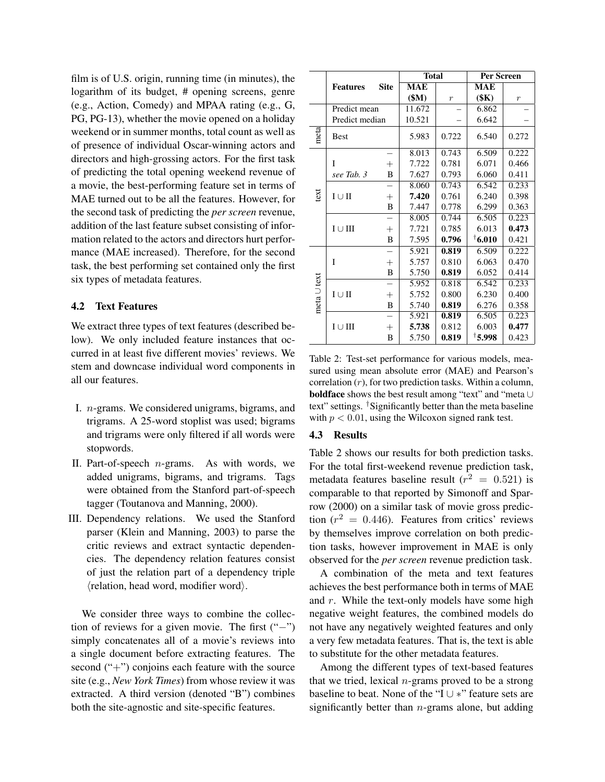film is of U.S. origin, running time (in minutes), the logarithm of its budget, # opening screens, genre (e.g., Action, Comedy) and MPAA rating (e.g., G, PG, PG-13), whether the movie opened on a holiday weekend or in summer months, total count as well as of presence of individual Oscar-winning actors and directors and high-grossing actors. For the first task of predicting the total opening weekend revenue of a movie, the best-performing feature set in terms of MAE turned out to be all the features. However, for the second task of predicting the *per screen* revenue, addition of the last feature subset consisting of information related to the actors and directors hurt performance (MAE increased). Therefore, for the second task, the best performing set contained only the first six types of metadata features.

### 4.2 Text Features

We extract three types of text features (described below). We only included feature instances that occurred in at least five different movies' reviews. We stem and downcase individual word components in all our features.

- I. n-grams. We considered unigrams, bigrams, and trigrams. A 25-word stoplist was used; bigrams and trigrams were only filtered if all words were stopwords.
- II. Part-of-speech  $n$ -grams. As with words, we added unigrams, bigrams, and trigrams. Tags were obtained from the Stanford part-of-speech tagger (Toutanova and Manning, 2000).
- III. Dependency relations. We used the Stanford parser (Klein and Manning, 2003) to parse the critic reviews and extract syntactic dependencies. The dependency relation features consist of just the relation part of a dependency triple  $\langle$ relation, head word, modifier word $\rangle$ .

We consider three ways to combine the collection of reviews for a given movie. The first ("−") simply concatenates all of a movie's reviews into a single document before extracting features. The second  $("+")$  conjoins each feature with the source site (e.g., *New York Times*) from whose review it was extracted. A third version (denoted "B") combines both the site-agnostic and site-specific features.

|             |                            |             | <b>Total</b> |                  | Per Screen               |                |
|-------------|----------------------------|-------------|--------------|------------------|--------------------------|----------------|
|             | <b>Features</b>            | <b>Site</b> | <b>MAE</b>   |                  | <b>MAE</b>               |                |
|             |                            |             | \$M\$        | $\boldsymbol{r}$ | (SK)                     | $\overline{r}$ |
|             | Predict mean               |             | 11.672       |                  | 6.862                    |                |
|             | Predict median             |             | 10.521       |                  | 6.642                    |                |
| meta        | <b>Best</b>                |             | 5.983        | 0.722            | 6.540                    | 0.272          |
| text        |                            |             | 8.013        | 0.743            | 6.509                    | 0.222          |
|             | I                          | $^{+}$      | 7.722        | 0.781            | 6.071                    | 0.466          |
|             | see Tab. 3                 | B           | 7.627        | 0.793            | 6.060                    | 0.411          |
|             |                            |             | 8.060        | 0.743            | 6.542                    | 0.233          |
|             | $I \cup II$                | $^{+}$      | 7.420        | 0.761            | 6.240                    | 0.398          |
|             |                            | B           | 7.447        | 0.778            | 6.299                    | 0.363          |
|             |                            |             | 8.005        | 0.744            | 6.505                    | 0.223          |
|             | $I \cup III$               | $^+$        | 7.721        | 0.785            | 6.013                    | 0.473          |
|             |                            | B           | 7.595        | 0.796            | $\mathbf{\degree}$ 6.010 | 0.421          |
| meta U text |                            |             | 5.921        | 0.819            | 6.509                    | 0.222          |
|             | I                          | $^{+}$      | 5.757        | 0.810            | 6.063                    | 0.470          |
|             |                            | B           | 5.750        | 0.819            | 6.052                    | 0.414          |
|             |                            |             | 5.952        | 0.818            | 6.542                    | 0.233          |
|             | $I \cup II$                | $^{+}$      | 5.752        | 0.800            | 6.230                    | 0.400          |
|             |                            | B           | 5.740        | 0.819            | 6.276                    | 0.358          |
|             |                            |             | 5.921        | 0.819            | 6.505                    | 0.223          |
|             | $\text{I} \cup \text{III}$ | $^{+}$      | 5.738        | 0.812            | 6.003                    | 0.477          |
|             |                            | B           | 5.750        | 0.819            | †5.998                   | 0.423          |

Table 2: Test-set performance for various models, measured using mean absolute error (MAE) and Pearson's correlation  $(r)$ , for two prediction tasks. Within a column, boldface shows the best result among "text" and "meta ∪ text" settings. †Significantly better than the meta baseline with  $p < 0.01$ , using the Wilcoxon signed rank test.

## 4.3 Results

Table 2 shows our results for both prediction tasks. For the total first-weekend revenue prediction task, metadata features baseline result ( $r^2 = 0.521$ ) is comparable to that reported by Simonoff and Sparrow (2000) on a similar task of movie gross prediction ( $r^2 = 0.446$ ). Features from critics' reviews by themselves improve correlation on both prediction tasks, however improvement in MAE is only observed for the *per screen* revenue prediction task.

A combination of the meta and text features achieves the best performance both in terms of MAE and  $r$ . While the text-only models have some high negative weight features, the combined models do not have any negatively weighted features and only a very few metadata features. That is, the text is able to substitute for the other metadata features.

Among the different types of text-based features that we tried, lexical  $n$ -grams proved to be a strong baseline to beat. None of the "I ∪ ∗" feature sets are significantly better than  $n$ -grams alone, but adding